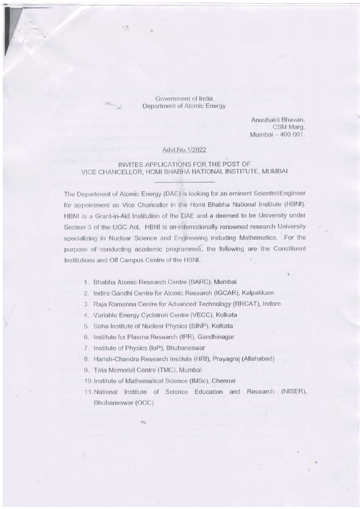Government of India Department of Atomic Energy

> Anushakti Bhavan, CSM Marg, Mumbai - 400 001.

#### Advt.No.1/2022

### INVITES APPLICATIONS FOR THE POST OF VICE CHANCELLOR, HOMI BHABHA NATIONAL INSTITUTE, MUMBAI

The Department of Atomic Energy (DAE) is looking for an eminent Scientist/Engineer for appointment as Vice Chancellor in the Homi Bhabha National Institute (HBNI). HBNI is a Grant-in-Aid Institution of the DAE and a deemed to be University under Section 3 of the UGC Act. HBNI is an internationally renowned research University specializing in Nuclear Science and Engineering including Mathematics. For the purpose of conducting academic programmes, the following are the Constituent Institutions and Off Campus Centre of the HBNI.

- 1. Bhabha Atomic Research Centre (BARC), Mumbai
- 2. Indira Gandhi Centre for Atomic Research (IGCAR), Kalpakkam
- 3. Raja Ramanna Centre for Advanced Technology (RRCAT), Indore
- 4. Variable Energy Cyclotron Centre (VECC), Kolkata
- 5. Saha Institute of Nuclear Physics (SINP), Kolkata
- 6. Institute for Plasma Research (IPR), Gandhinagar
- 7. Institute of Physics (IoP), Bhubaneswar
- 8. Harish-Chandra Research Institute (HRI), Prayagraj (Allahabad)
- 9. Tata Memorial Centre (TMC), Mumbai
- 10. Institute of Mathematical Science (IMSc), Chennai
- 11. National Institute of Science Education and Research (NISER), Bhubaneswar (OCC)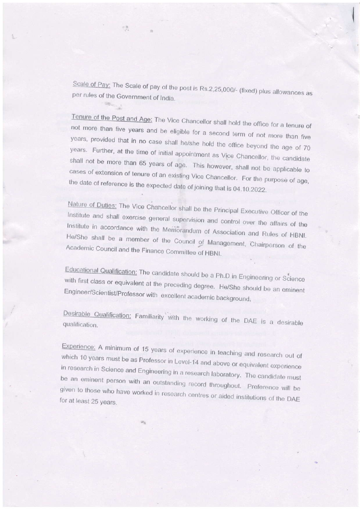Scale of Pay: The Scale of pay of the post is Rs.2,25,000/- (fixed) plus allowances as per rules of the Government of India.

럇

Tenure of the Post and Age: The Vice Chancellor shall hold the office for a tenure of not more than five years and be eligible for a second term of not more than five years, provided that in no case shall he/she hold the office beyond the age of 70 years. Further, at the time of initial appointment as Vice Chancellor, the candidate shall not be more than 65 years of age. This however, shall not be applicable to cases of extension of tenure of an existing Vice Chancellor. For the purpose of age, the date of reference is the expected date of joining that is 04.10.2022.

Nature of Duties: The Vice Chancellor shall be the Principal Executive Officer of the Institute and shall exercise general supervision and control over the affairs of the Institute in accordance with the Memorandum of Association and Rules of HBNI. He/She shall be a member of the Council of Management, Chairperson of the Academic Council and the Finance Committee of HBNI.

Educational Qualification: The candidate should be a Ph.D in Engineering or Science with first class or equivalent at the preceding degree. He/She should be an eminent Engineer/Scientist/Professor with excellent academic background.

Desirable Qualification: Familiarity with the working of the DAE is a desirable qualification.

Experience: A minimum of 15 years of experience in teaching and research out of which 10 years must be as Professor in Level-14 and above or equivalent experience in research in Science and Engineering in a research laboratory. The candidate must be an eminent person with an outstanding record throughout. Preference will be given to those who have worked in research centres or aided institutions of the DAE for at least 25 years.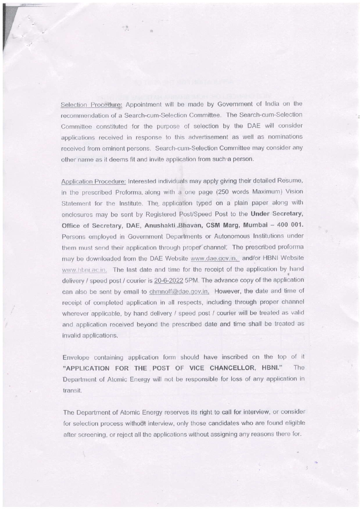Selection Procedure: Appointment will be made by Government of India on the recomnrendation of a Search-cum-Selection Committee. The Search-cum-Selection Committee constituted for the purpose of selection by the DAE will consider applications received in response to this advertisement as well as nominations received from eminent persons. Search-cum-Selection Committee may consider any other name as it deems fit and invite application from such a person.

Application Procedure: Interested individuals may apply giving their detailed Resume, in the prescribed Proforma. along with a one page (250 words Maximun) Vision Statement for the Institute. The application typed on a plain paper along with enclosures may be sent by Registered Post/Speed Post to the Under Secretary, Office of Secretary, DAE, Anushakti Bhavan, CSM Marg, Mumbai - 400 001. Persons employed in Government Deparlments or Autonomous lnstitutions under them must send their application through propefchannel: The prescribed proforma may be downloaded from the DAE Website www.dae.gov.in. and/or HBNI Website www.hbni.ac.in. The last date and time for the receipt of the application by hand delivery / speed post / courier is 20-6-2022 5PM. The advance copy of the application can also be sent by email to chmnoff@dae.gov.in. However, the date and time of receipt of completed application in all respects, including through proper channel wherever applicable, by hand delivery / speed post / courier will be treated as valid and application received beyond the prescribed date and time shall be treated as invalid applications.

Envelope containinq application form should have inscribed on the top of it "APPLICATION FOR THE POST OF VICE CHANCELLOR, HBNI." The Department of Atomic Energy will not be responsible for loss of any application in transil.

The Department of Atomic Energy reserves its right to call for interview, or consider for selection process without interview, only those candidates who are found eligible after screening, or reject all the applications without assigning any reasons there for.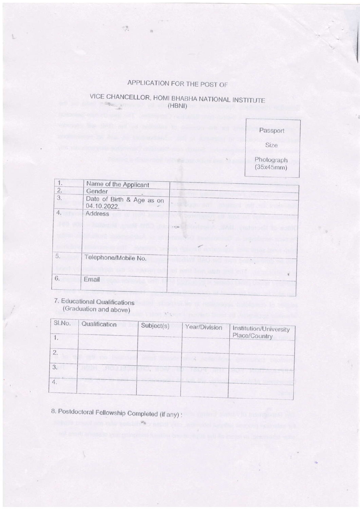## APPLICATION FOR THE POST OF

 $\mathbb{R}^n$ 

# VICE CHANCELLOR, HOMI BHABHA NATIONAL INSTITUTE (HBNI)



| Name of the Applicant<br>Gender<br>Date of Birth & Age as on |                                             |
|--------------------------------------------------------------|---------------------------------------------|
|                                                              |                                             |
| 04.10.2022.                                                  | 图 ( ) ( ) ( ) ( ) ( ) ( ) ( ) ( )           |
| Address                                                      |                                             |
|                                                              | <b>MODEL MANUFACTURE</b><br>$-40.46$        |
|                                                              |                                             |
|                                                              |                                             |
| Telephone/Mobile No.                                         | <b>BAGLES</b>                               |
| <b>Sciences</b> 200<br>Email                                 | TOT INTER ACADEMIC<br><b>THE RIVE</b><br>ĸ. |
|                                                              | <b>Part That product</b>                    |

## 7. Educational Qualifications (Graduation and above)

| SI.No. | Qualification | Subject(s) | Year/Division | Institution/University<br>Place/Country |
|--------|---------------|------------|---------------|-----------------------------------------|
| 2.     |               |            |               |                                         |
| 3.     |               |            |               |                                         |
| 4.     |               |            |               |                                         |
|        |               |            |               |                                         |

8. Postdoctoral Fellowship Completed (if any):